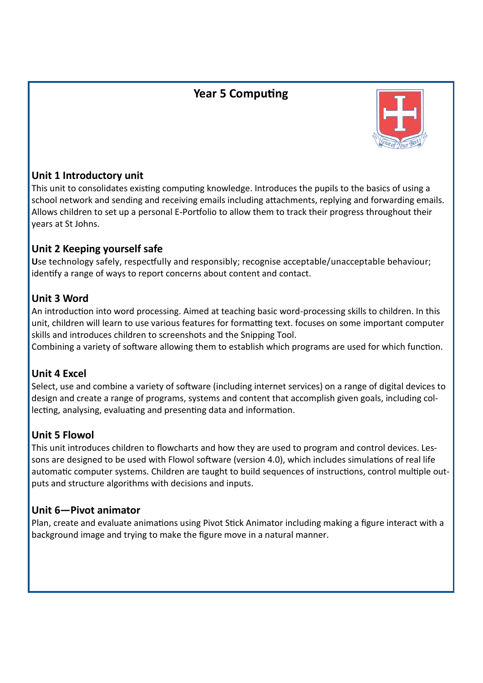# **Year 5 Computing**



## **Unit 1 Introductory unit**

This unit to consolidates existing computing knowledge. Introduces the pupils to the basics of using a school network and sending and receiving emails including attachments, replying and forwarding emails. Allows children to set up a personal E-Portfolio to allow them to track their progress throughout their years at St Johns.

#### **Unit 2 Keeping yourself safe**

**U**se technology safely, respectfully and responsibly; recognise acceptable/unacceptable behaviour; identify a range of ways to report concerns about content and contact.

## **Unit 3 Word**

An introduction into word processing. Aimed at teaching basic word-processing skills to children. In this unit, children will learn to use various features for formatting text. focuses on some important computer skills and introduces children to screenshots and the Snipping Tool.

Combining a variety of software allowing them to establish which programs are used for which function.

#### **Unit 4 Excel**

Select, use and combine a variety of software (including internet services) on a range of digital devices to design and create a range of programs, systems and content that accomplish given goals, including collecting, analysing, evaluating and presenting data and information.

## **Unit 5 Flowol**

This unit introduces children to flowcharts and how they are used to program and control devices. Lessons are designed to be used with Flowol software (version 4.0), which includes simulations of real life automatic computer systems. Children are taught to build sequences of instructions, control multiple outputs and structure algorithms with decisions and inputs.

#### **Unit 6—Pivot animator**

Plan, create and evaluate animations using Pivot Stick Animator including making a figure interact with a background image and trying to make the figure move in a natural manner.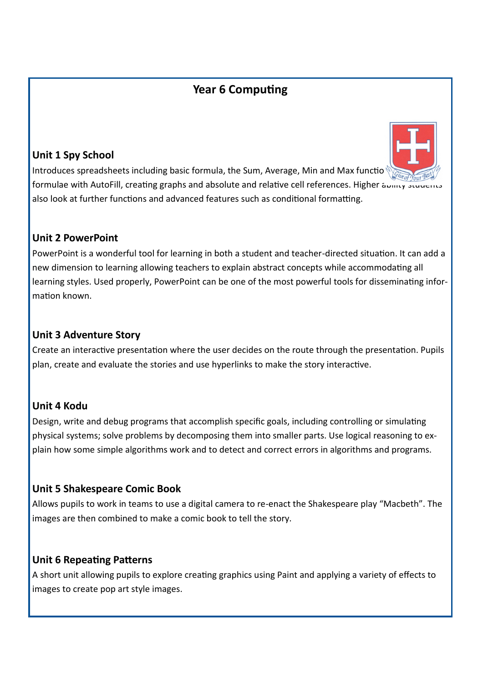# **Year 6 Computing**

## **Unit 1 Spy School**



Introduces spreadsheets including basic formula, the Sum, Average, Min and Max function formulae with AutoFill, creating graphs and absolute and relative cell references. Higher ability students also look at further functions and advanced features such as conditional formatting.

#### **Unit 2 PowerPoint**

PowerPoint is a wonderful tool for learning in both a student and teacher-directed situation. It can add a new dimension to learning allowing teachers to explain abstract concepts while accommodating all learning styles. Used properly, PowerPoint can be one of the most powerful tools for disseminating information known.

#### **Unit 3 Adventure Story**

Create an interactive presentation where the user decides on the route through the presentation. Pupils plan, create and evaluate the stories and use hyperlinks to make the story interactive.

## **Unit 4 Kodu**

Design, write and debug programs that accomplish specific goals, including controlling or simulating physical systems; solve problems by decomposing them into smaller parts. Use logical reasoning to explain how some simple algorithms work and to detect and correct errors in algorithms and programs.

## **Unit 5 Shakespeare Comic Book**

Allows pupils to work in teams to use a digital camera to re-enact the Shakespeare play "Macbeth". The images are then combined to make a comic book to tell the story.

#### **Unit 6 Repeating Patterns**

A short unit allowing pupils to explore creating graphics using Paint and applying a variety of effects to images to create pop art style images.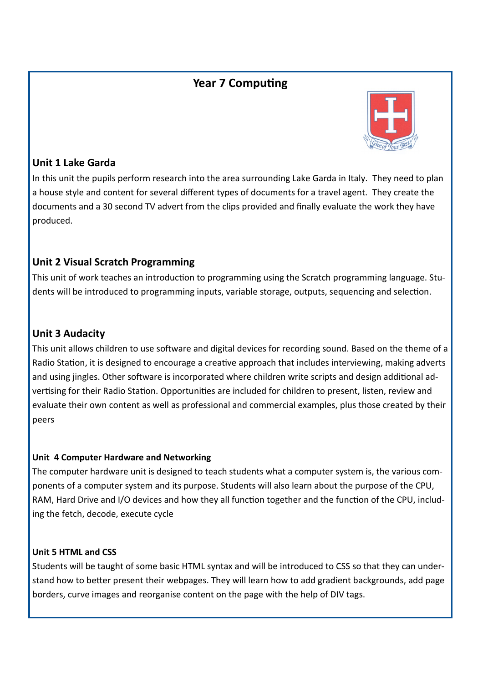## **Year 7 Computing**



#### **Unit 1 Lake Garda**

In this unit the pupils perform research into the area surrounding Lake Garda in Italy. They need to plan a house style and content for several different types of documents for a travel agent. They create the documents and a 30 second TV advert from the clips provided and finally evaluate the work they have produced.

## **Unit 2 Visual Scratch Programming**

This unit of work teaches an introduction to programming using the Scratch programming language. Students will be introduced to programming inputs, variable storage, outputs, sequencing and selection.

## **Unit 3 Audacity**

This unit allows children to use software and digital devices for recording sound. Based on the theme of a Radio Station, it is designed to encourage a creative approach that includes interviewing, making adverts and using jingles. Other software is incorporated where children write scripts and design additional advertising for their Radio Station. Opportunities are included for children to present, listen, review and evaluate their own content as well as professional and commercial examples, plus those created by their peers

#### **Unit 4 Computer Hardware and Networking**

The computer hardware unit is designed to teach students what a computer system is, the various components of a computer system and its purpose. Students will also learn about the purpose of the CPU, RAM, Hard Drive and I/O devices and how they all function together and the function of the CPU, including the fetch, decode, execute cycle

#### **Unit 5 HTML and CSS**

Students will be taught of some basic HTML syntax and will be introduced to CSS so that they can understand how to better present their webpages. They will learn how to add gradient backgrounds, add page borders, curve images and reorganise content on the page with the help of DIV tags.